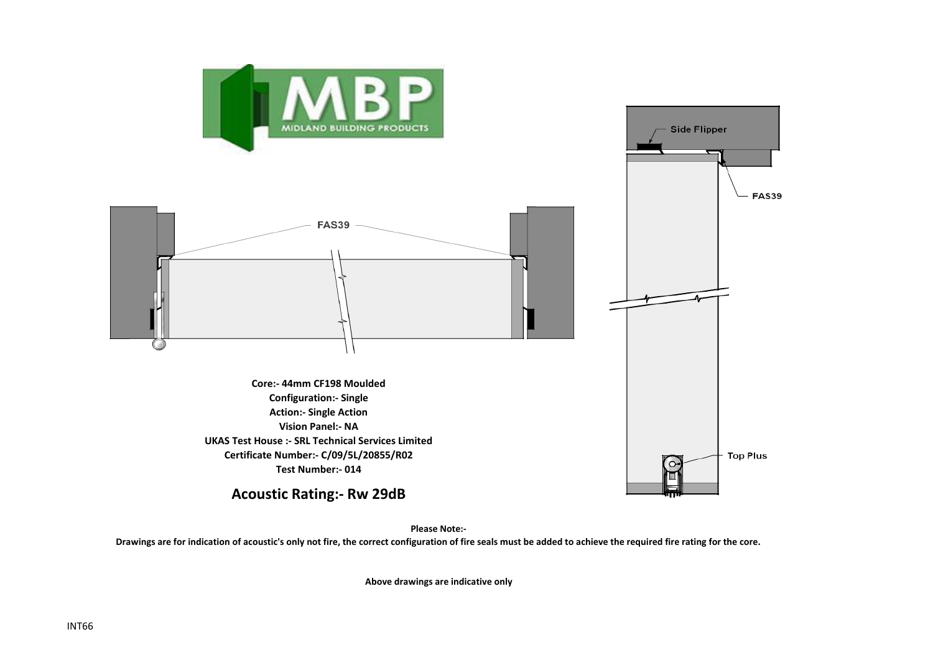

**Please Note:-** 

**Drawings are for indication of acoustic's only not fire, the correct configuration of fire seals must be added to achieve the required fire rating for the core.**

**Above drawings are indicative only**